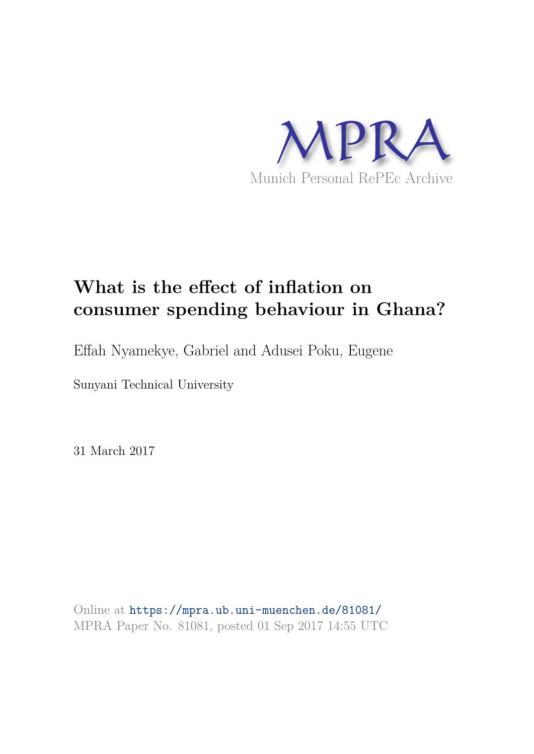

# **What is the effect of inflation on consumer spending behaviour in Ghana?**

Effah Nyamekye, Gabriel and Adusei Poku, Eugene

Sunyani Technical University

31 March 2017

Online at https://mpra.ub.uni-muenchen.de/81081/ MPRA Paper No. 81081, posted 01 Sep 2017 14:55 UTC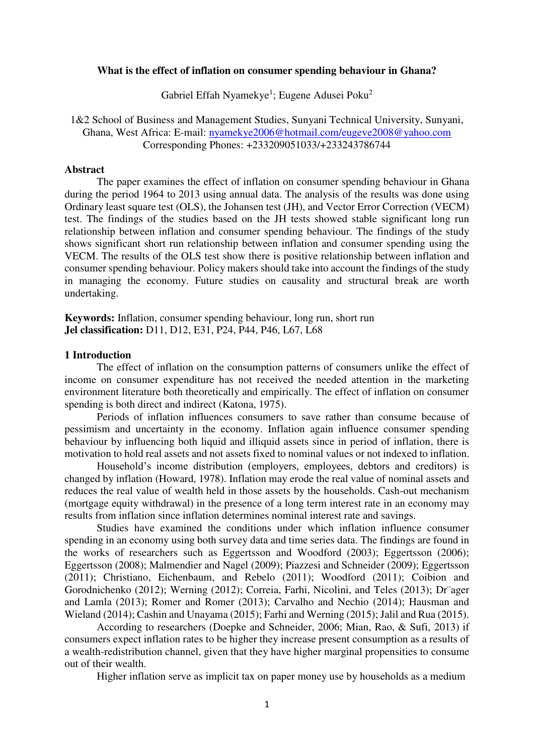#### **What is the effect of inflation on consumer spending behaviour in Ghana?**

Gabriel Effah Nyamekye<sup>1</sup>; Eugene Adusei Poku<sup>2</sup>

1&2 School of Business and Management Studies, Sunyani Technical University, Sunyani, Ghana, West Africa: E-mail: [nyamekye2006@hotmail.com/eugeve2008@yahoo.com](mailto:nyamekye2006@hotmail.com/eugeve2008@yahoo.com) Corresponding Phones: +233209051033/+233243786744

#### **Abstract**

The paper examines the effect of inflation on consumer spending behaviour in Ghana during the period 1964 to 2013 using annual data. The analysis of the results was done using Ordinary least square test (OLS), the Johansen test (JH), and Vector Error Correction (VECM) test. The findings of the studies based on the JH tests showed stable significant long run relationship between inflation and consumer spending behaviour. The findings of the study shows significant short run relationship between inflation and consumer spending using the VECM. The results of the OLS test show there is positive relationship between inflation and consumer spending behaviour. Policy makers should take into account the findings of the study in managing the economy. Future studies on causality and structural break are worth undertaking.

**Keywords:** Inflation, consumer spending behaviour, long run, short run **Jel classification:** D11, D12, E31, P24, P44, P46, L67, L68

#### **1 Introduction**

The effect of inflation on the consumption patterns of consumers unlike the effect of income on consumer expenditure has not received the needed attention in the marketing environment literature both theoretically and empirically. The effect of inflation on consumer spending is both direct and indirect (Katona, 1975).

Periods of inflation influences consumers to save rather than consume because of pessimism and uncertainty in the economy. Inflation again influence consumer spending behaviour by influencing both liquid and illiquid assets since in period of inflation, there is motivation to hold real assets and not assets fixed to nominal values or not indexed to inflation.

Household's income distribution (employers, employees, debtors and creditors) is changed by inflation (Howard, 1978). Inflation may erode the real value of nominal assets and reduces the real value of wealth held in those assets by the households. Cash-out mechanism (mortgage equity withdrawal) in the presence of a long term interest rate in an economy may results from inflation since inflation determines nominal interest rate and savings.

Studies have examined the conditions under which inflation influence consumer spending in an economy using both survey data and time series data. The findings are found in the works of researchers such as Eggertsson and Woodford (2003); Eggertsson (2006); Eggertsson (2008); Malmendier and Nagel (2009); Piazzesi and Schneider (2009); Eggertsson (2011); Christiano, Eichenbaum, and Rebelo (2011); Woodford (2011); Coibion and Gorodnichenko (2012); Werning (2012); Correia, Farhi, Nicolini, and Teles (2013); Dr¨ager and Lamla (2013); Romer and Romer (2013); Carvalho and Nechio (2014); Hausman and Wieland (2014); Cashin and Unayama (2015); Farhi and Werning (2015); Jalil and Rua (2015).

According to researchers (Doepke and Schneider, 2006; Mian, Rao, & Sufi, 2013) if consumers expect inflation rates to be higher they increase present consumption as a results of a wealth-redistribution channel, given that they have higher marginal propensities to consume out of their wealth.

Higher inflation serve as implicit tax on paper money use by households as a medium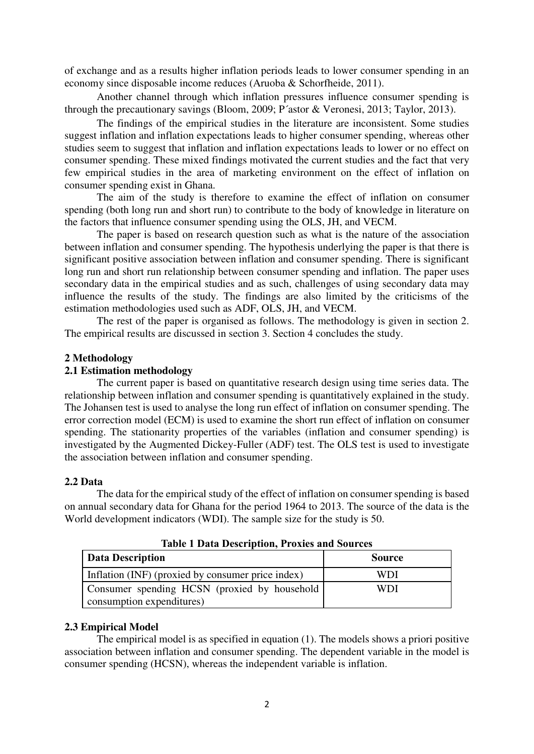of exchange and as a results higher inflation periods leads to lower consumer spending in an economy since disposable income reduces (Aruoba & Schorfheide, 2011).

Another channel through which inflation pressures influence consumer spending is through the precautionary savings (Bloom, 2009; P´astor & Veronesi, 2013; Taylor, 2013).

The findings of the empirical studies in the literature are inconsistent. Some studies suggest inflation and inflation expectations leads to higher consumer spending, whereas other studies seem to suggest that inflation and inflation expectations leads to lower or no effect on consumer spending. These mixed findings motivated the current studies and the fact that very few empirical studies in the area of marketing environment on the effect of inflation on consumer spending exist in Ghana.

The aim of the study is therefore to examine the effect of inflation on consumer spending (both long run and short run) to contribute to the body of knowledge in literature on the factors that influence consumer spending using the OLS, JH, and VECM.

The paper is based on research question such as what is the nature of the association between inflation and consumer spending. The hypothesis underlying the paper is that there is significant positive association between inflation and consumer spending. There is significant long run and short run relationship between consumer spending and inflation. The paper uses secondary data in the empirical studies and as such, challenges of using secondary data may influence the results of the study. The findings are also limited by the criticisms of the estimation methodologies used such as ADF, OLS, JH, and VECM.

The rest of the paper is organised as follows. The methodology is given in section 2. The empirical results are discussed in section 3. Section 4 concludes the study.

#### **2 Methodology**

# **2.1 Estimation methodology**

The current paper is based on quantitative research design using time series data. The relationship between inflation and consumer spending is quantitatively explained in the study. The Johansen test is used to analyse the long run effect of inflation on consumer spending. The error correction model (ECM) is used to examine the short run effect of inflation on consumer spending. The stationarity properties of the variables (inflation and consumer spending) is investigated by the Augmented Dickey-Fuller (ADF) test. The OLS test is used to investigate the association between inflation and consumer spending.

#### **2.2 Data**

The data for the empirical study of the effect of inflation on consumer spending is based on annual secondary data for Ghana for the period 1964 to 2013. The source of the data is the World development indicators (WDI). The sample size for the study is 50.

| THOIC I D'HUR D'UOUID'HOIR I LOINED RIIM DOME CED |               |  |  |  |
|---------------------------------------------------|---------------|--|--|--|
| Data Description                                  | <b>Source</b> |  |  |  |
| Inflation (INF) (proxied by consumer price index) | WDI           |  |  |  |
| Consumer spending HCSN (proxied by household      | WDI           |  |  |  |
| consumption expenditures)                         |               |  |  |  |

**Table 1 Data Description, Proxies and Sources**

#### **2.3 Empirical Model**

The empirical model is as specified in equation (1). The models shows a priori positive association between inflation and consumer spending. The dependent variable in the model is consumer spending (HCSN), whereas the independent variable is inflation.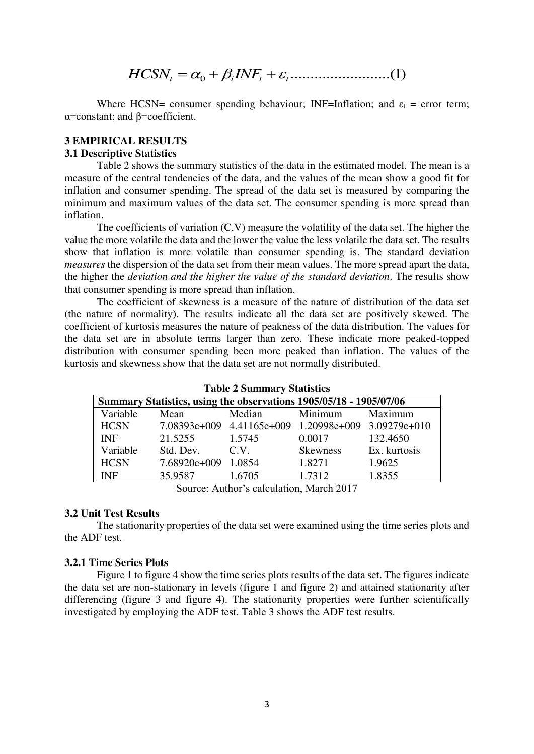$$
HCSN_t = \alpha_0 + \beta_i INF_t + \varepsilon_i
$$
 (1)

Where HCSN= consumer spending behaviour; INF=Inflation; and  $\varepsilon_t$  = error term; α=constant; and β=coefficient.

# **3 EMPIRICAL RESULTS**

# **3.1 Descriptive Statistics**

Table 2 shows the summary statistics of the data in the estimated model. The mean is a measure of the central tendencies of the data, and the values of the mean show a good fit for inflation and consumer spending. The spread of the data set is measured by comparing the minimum and maximum values of the data set. The consumer spending is more spread than inflation.

The coefficients of variation (C.V) measure the volatility of the data set. The higher the value the more volatile the data and the lower the value the less volatile the data set. The results show that inflation is more volatile than consumer spending is. The standard deviation *measures* the dispersion of the data set from their mean values. The more spread apart the data, the higher the *deviation and the higher the value of the standard deviation*. The results show that consumer spending is more spread than inflation.

The coefficient of skewness is a measure of the nature of distribution of the data set (the nature of normality). The results indicate all the data set are positively skewed. The coefficient of kurtosis measures the nature of peakness of the data distribution. The values for the data set are in absolute terms larger than zero. These indicate more peaked-topped distribution with consumer spending been more peaked than inflation. The values of the kurtosis and skewness show that the data set are not normally distributed.

| <b>Table 2 Summary Statistics</b>                                  |                     |                                                                           |                 |              |  |
|--------------------------------------------------------------------|---------------------|---------------------------------------------------------------------------|-----------------|--------------|--|
| Summary Statistics, using the observations 1905/05/18 - 1905/07/06 |                     |                                                                           |                 |              |  |
| Variable                                                           | Mean                | Median                                                                    | Minimum         | Maximum      |  |
| <b>HCSN</b>                                                        |                     | 7.08393e+009 4.41165e+009 1.20998e+009 3.09279e+010                       |                 |              |  |
| <b>INF</b>                                                         | 21.5255             | 1.5745                                                                    | 0.0017          | 132.4650     |  |
| Variable                                                           | Std. Dev.           | C.V.                                                                      | <b>Skewness</b> | Ex. kurtosis |  |
| <b>HCSN</b>                                                        | 7.68920e+009 1.0854 |                                                                           | 1.8271          | 1.9625       |  |
| <b>INF</b>                                                         | 35.9587             | 1.6705<br>$\mathbf{A}$ and $\mathbf{A}$ and $\mathbf{A}$ and $\mathbf{A}$ | 1.7312          | 1.8355       |  |

Source: Author's calculation, March 2017

#### **3.2 Unit Test Results**

The stationarity properties of the data set were examined using the time series plots and the ADF test.

# **3.2.1 Time Series Plots**

Figure 1 to figure 4 show the time series plots results of the data set. The figures indicate the data set are non-stationary in levels (figure 1 and figure 2) and attained stationarity after differencing (figure 3 and figure 4). The stationarity properties were further scientifically investigated by employing the ADF test. Table 3 shows the ADF test results.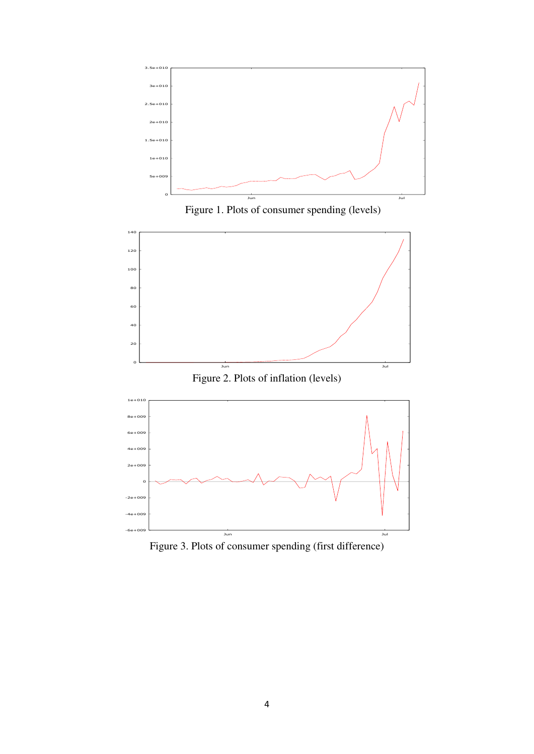

Figure 1. Plots of consumer spending (levels)



Figure 3. Plots of consumer spending (first difference)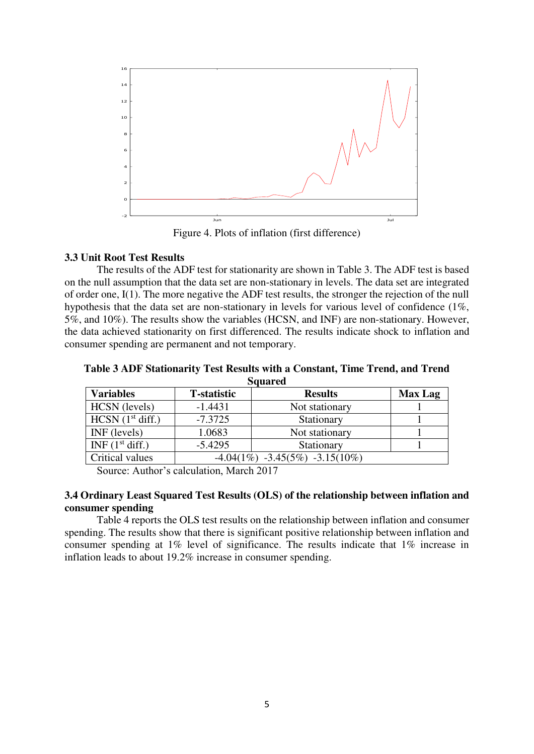

Figure 4. Plots of inflation (first difference)

# **3.3 Unit Root Test Results**

The results of the ADF test for stationarity are shown in Table 3. The ADF test is based on the null assumption that the data set are non-stationary in levels. The data set are integrated of order one, I(1). The more negative the ADF test results, the stronger the rejection of the null hypothesis that the data set are non-stationary in levels for various level of confidence (1%, 5%, and 10%). The results show the variables (HCSN, and INF) are non-stationary. However, the data achieved stationarity on first differenced. The results indicate shock to inflation and consumer spending are permanent and not temporary.

| <b>Squared</b>     |                     |                                     |                |  |
|--------------------|---------------------|-------------------------------------|----------------|--|
| <b>Variables</b>   | <b>T</b> -statistic | <b>Results</b>                      | <b>Max Lag</b> |  |
| HCSN (levels)      | $-1.4431$           | Not stationary                      |                |  |
| HCSN $(1st diff.)$ | $-7.3725$           | Stationary                          |                |  |
| INF (levels)       | 1.0683              | Not stationary                      |                |  |
| INF $(1st diff.)$  | $-5.4295$           | Stationary                          |                |  |
| Critical values    |                     | $-4.04(1\%) -3.45(5\%) -3.15(10\%)$ |                |  |

**Table 3 ADF Stationarity Test Results with a Constant, Time Trend, and Trend Squared** 

Source: Author's calculation, March 2017

# **3.4 Ordinary Least Squared Test Results (OLS) of the relationship between inflation and consumer spending**

Table 4 reports the OLS test results on the relationship between inflation and consumer spending. The results show that there is significant positive relationship between inflation and consumer spending at 1% level of significance. The results indicate that 1% increase in inflation leads to about 19.2% increase in consumer spending.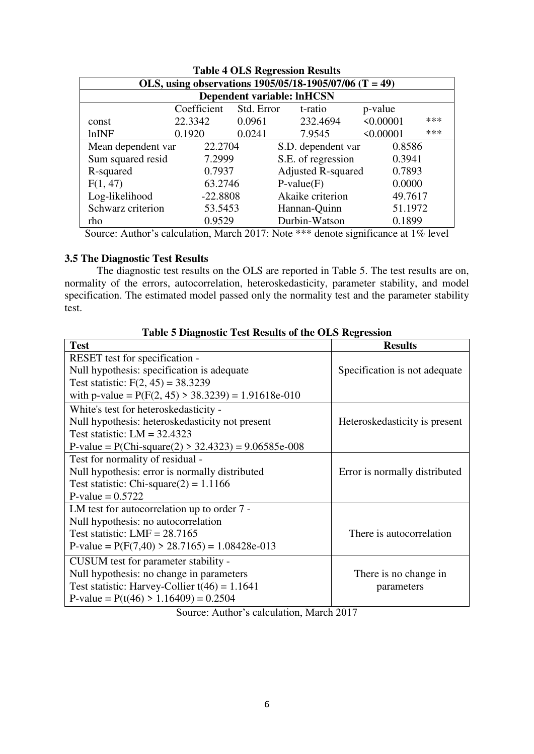| <b>Table 4 OLS Regression Results</b>                      |            |        |                                   |           |     |
|------------------------------------------------------------|------------|--------|-----------------------------------|-----------|-----|
| OLS, using observations $1905/05/18 - 1905/07/06$ (T = 49) |            |        |                                   |           |     |
|                                                            |            |        | <b>Dependent variable: InHCSN</b> |           |     |
| Coefficient<br>Std. Error<br>t-ratio<br>p-value            |            |        |                                   |           |     |
| const                                                      | 22.3342    | 0.0961 | 232.4694                          | < 0.00001 | *** |
| lnINF                                                      | 0.1920     | 0.0241 | 7.9545                            | < 0.00001 | *** |
| Mean dependent var                                         | 22.2704    |        | S.D. dependent var                | 0.8586    |     |
| Sum squared resid                                          | 7.2999     |        | S.E. of regression                | 0.3941    |     |
| R-squared                                                  | 0.7937     |        | <b>Adjusted R-squared</b>         | 0.7893    |     |
| F(1, 47)                                                   | 63.2746    |        | $P-value(F)$                      | 0.0000    |     |
| Log-likelihood                                             | $-22.8808$ |        | Akaike criterion                  | 49.7617   |     |
| Schwarz criterion                                          | 53.5453    |        | Hannan-Quinn                      | 51.1972   |     |
| rho                                                        | 0.9529     |        | Durbin-Watson                     | 0.1899    |     |

Source: Author's calculation, March 2017: Note \*\*\* denote significance at 1% level

# **3.5 The Diagnostic Test Results**

The diagnostic test results on the OLS are reported in Table 5. The test results are on, normality of the errors, autocorrelation, heteroskedasticity, parameter stability, and model specification. The estimated model passed only the normality test and the parameter stability test.

| <b>Test</b>                                           | <b>Results</b>                |
|-------------------------------------------------------|-------------------------------|
| RESET test for specification -                        |                               |
| Null hypothesis: specification is adequate            | Specification is not adequate |
| Test statistic: $F(2, 45) = 38.3239$                  |                               |
| with p-value = $P(F(2, 45) > 38.3239) = 1.91618e-010$ |                               |
| White's test for heteroskedasticity -                 |                               |
| Null hypothesis: heteroskedasticity not present       | Heteroskedasticity is present |
| Test statistic: $LM = 32.4323$                        |                               |
| P-value = $P(Chi-square(2) > 32.4323) = 9.06585e-008$ |                               |
| Test for normality of residual -                      |                               |
| Null hypothesis: error is normally distributed        | Error is normally distributed |
| Test statistic: Chi-square $(2) = 1.1166$             |                               |
| P-value = $0.5722$                                    |                               |
| LM test for autocorrelation up to order 7 -           |                               |
| Null hypothesis: no autocorrelation                   |                               |
| Test statistic: LMF = $28.7165$                       | There is autocorrelation      |
| P-value = $P(F(7,40) > 28.7165) = 1.08428e-013$       |                               |
| CUSUM test for parameter stability -                  |                               |
| Null hypothesis: no change in parameters              | There is no change in         |
| Test statistic: Harvey-Collier $t(46) = 1.1641$       | parameters                    |
| P-value = $P(t(46) > 1.16409) = 0.2504$               |                               |

# **Table 5 Diagnostic Test Results of the OLS Regression**

Source: Author's calculation, March 2017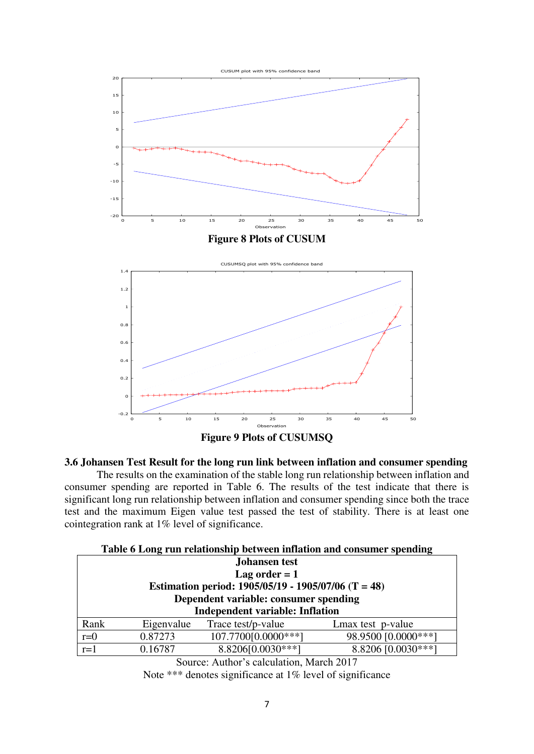

**Figure 9 Plots of CUSUMSQ** 

# **3.6 Johansen Test Result for the long run link between inflation and consumer spending**

The results on the examination of the stable long run relationship between inflation and consumer spending are reported in Table 6. The results of the test indicate that there is significant long run relationship between inflation and consumer spending since both the trace test and the maximum Eigen value test passed the test of stability. There is at least one cointegration rank at 1% level of significance.

| Table 6 Long run relationship between inflation and consumer spending |            |                                       |                     |  |
|-----------------------------------------------------------------------|------------|---------------------------------------|---------------------|--|
| <b>Johansen</b> test                                                  |            |                                       |                     |  |
| Lag order $= 1$                                                       |            |                                       |                     |  |
| Estimation period: $1905/05/19 - 1905/07/06$ (T = 48)                 |            |                                       |                     |  |
|                                                                       |            | Dependent variable: consumer spending |                     |  |
| <b>Independent variable: Inflation</b>                                |            |                                       |                     |  |
| Rank                                                                  | Eigenvalue | Trace test/p-value                    | Lmax test p-value   |  |
| $r=0$                                                                 | 0.87273    | 107.7700[0.0000***]                   | 98.9500 [0.0000***] |  |
| $r=1$                                                                 | 0.16787    | 8.8206[0.0030***]                     | 8.8206 [0.0030***]  |  |

Source: Author's calculation, March 2017

Note \*\*\* denotes significance at 1% level of significance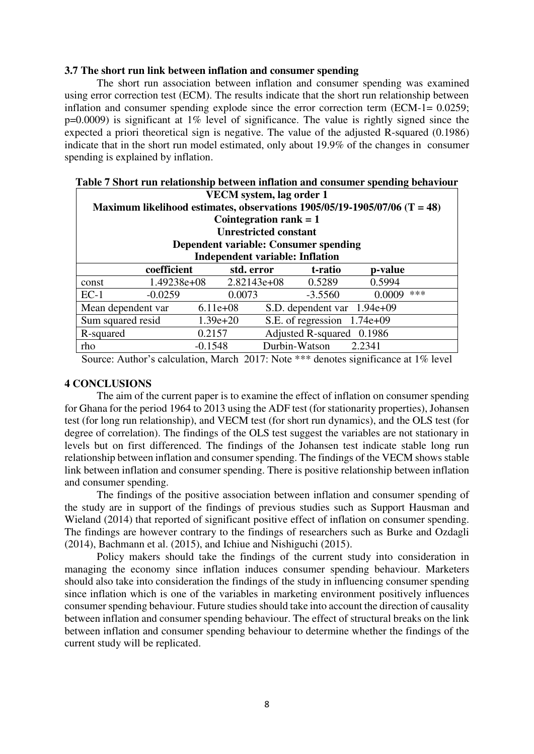#### **3.7 The short run link between inflation and consumer spending**

The short run association between inflation and consumer spending was examined using error correction test (ECM). The results indicate that the short run relationship between inflation and consumer spending explode since the error correction term (ECM-1= 0.0259; p=0.0009) is significant at 1% level of significance. The value is rightly signed since the expected a priori theoretical sign is negative. The value of the adjusted R-squared (0.1986) indicate that in the short run model estimated, only about 19.9% of the changes in consumer spending is explained by inflation.

| талк т эпогетан гейионынр легиеси ницион ана сонланга эренанд легитоаг<br>VECM system, lag order 1<br>Maximum likelihood estimates, observations $1905/05/19 - 1905/07/06$ (T = 48) |                           |              |                           |                             |         |     |
|-------------------------------------------------------------------------------------------------------------------------------------------------------------------------------------|---------------------------|--------------|---------------------------|-----------------------------|---------|-----|
| Cointegration rank $= 1$<br><b>Unrestricted constant</b>                                                                                                                            |                           |              |                           |                             |         |     |
| Dependent variable: Consumer spending<br><b>Independent variable: Inflation</b>                                                                                                     |                           |              |                           |                             |         |     |
|                                                                                                                                                                                     | coefficient<br>std. error |              |                           | t-ratio                     | p-value |     |
| const                                                                                                                                                                               | 1.49238e+08               |              | $2.82143e+08$             | 0.5289                      | 0.5994  |     |
| $EC-1$                                                                                                                                                                              | $-0.0259$                 | 0.0073       |                           | $-3.5560$                   | 0.0009  | *** |
| Mean dependent var                                                                                                                                                                  |                           | $6.11e+08$   |                           | S.D. dependent var 1.94e+09 |         |     |
| Sum squared resid                                                                                                                                                                   |                           | $1.39e + 20$ |                           | S.E. of regression 1.74e+09 |         |     |
| 0.2157<br>R-squared                                                                                                                                                                 |                           |              | Adjusted R-squared 0.1986 |                             |         |     |
| rho                                                                                                                                                                                 |                           | $-0.1548$    |                           | Durbin-Watson               | 2.2341  |     |

# **Table 7 Short run relationship between inflation and consumer spending behaviour**

Source: Author's calculation, March 2017: Note \*\*\* denotes significance at 1% level

# **4 CONCLUSIONS**

The aim of the current paper is to examine the effect of inflation on consumer spending for Ghana for the period 1964 to 2013 using the ADF test (for stationarity properties), Johansen test (for long run relationship), and VECM test (for short run dynamics), and the OLS test (for degree of correlation). The findings of the OLS test suggest the variables are not stationary in levels but on first differenced. The findings of the Johansen test indicate stable long run relationship between inflation and consumer spending. The findings of the VECM shows stable link between inflation and consumer spending. There is positive relationship between inflation and consumer spending.

The findings of the positive association between inflation and consumer spending of the study are in support of the findings of previous studies such as Support Hausman and Wieland (2014) that reported of significant positive effect of inflation on consumer spending. The findings are however contrary to the findings of researchers such as Burke and Ozdagli (2014), Bachmann et al. (2015), and Ichiue and Nishiguchi (2015).

Policy makers should take the findings of the current study into consideration in managing the economy since inflation induces consumer spending behaviour. Marketers should also take into consideration the findings of the study in influencing consumer spending since inflation which is one of the variables in marketing environment positively influences consumer spending behaviour. Future studies should take into account the direction of causality between inflation and consumer spending behaviour. The effect of structural breaks on the link between inflation and consumer spending behaviour to determine whether the findings of the current study will be replicated.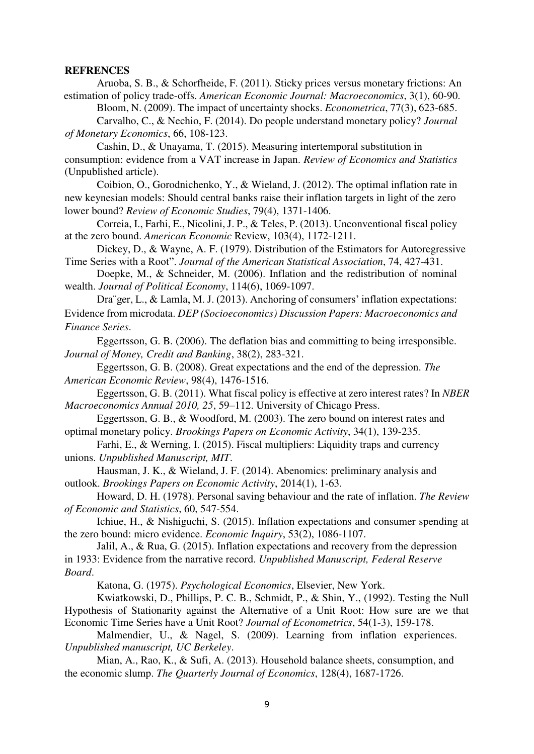#### **REFRENCES**

Aruoba, S. B., & Schorfheide, F. (2011). Sticky prices versus monetary frictions: An estimation of policy trade-offs. *American Economic Journal: Macroeconomics*, 3(1), 60-90.

Bloom, N. (2009). The impact of uncertainty shocks. *Econometrica*, 77(3), 623-685.

Carvalho, C., & Nechio, F. (2014). Do people understand monetary policy? *Journal of Monetary Economics*, 66, 108-123.

Cashin, D., & Unayama, T. (2015). Measuring intertemporal substitution in consumption: evidence from a VAT increase in Japan. *Review of Economics and Statistics*  (Unpublished article).

Coibion, O., Gorodnichenko, Y., & Wieland, J. (2012). The optimal inflation rate in new keynesian models: Should central banks raise their inflation targets in light of the zero lower bound? *Review of Economic Studies*, 79(4), 1371-1406.

Correia, I., Farhi, E., Nicolini, J. P., & Teles, P. (2013). Unconventional fiscal policy at the zero bound. *American Economic* Review, 103(4), 1172-1211.

Dickey, D., & Wayne, A. F. (1979). Distribution of the Estimators for Autoregressive Time Series with a Root". *Journal of the American Statistical Association*, 74, 427-431.

Doepke, M., & Schneider, M. (2006). Inflation and the redistribution of nominal wealth. *Journal of Political Economy*, 114(6), 1069-1097.

Dra¨ger, L., & Lamla, M. J. (2013). Anchoring of consumers' inflation expectations: Evidence from microdata. *DEP (Socioeconomics) Discussion Papers: Macroeconomics and Finance Series*.

Eggertsson, G. B. (2006). The deflation bias and committing to being irresponsible. *Journal of Money, Credit and Banking*, 38(2), 283-321.

Eggertsson, G. B. (2008). Great expectations and the end of the depression. *The American Economic Review*, 98(4), 1476-1516.

Eggertsson, G. B. (2011). What fiscal policy is effective at zero interest rates? In *NBER Macroeconomics Annual 2010, 25*, 59–112. University of Chicago Press.

Eggertsson, G. B., & Woodford, M. (2003). The zero bound on interest rates and optimal monetary policy. *Brookings Papers on Economic Activity*, 34(1), 139-235.

Farhi, E., & Werning, I. (2015). Fiscal multipliers: Liquidity traps and currency unions. *Unpublished Manuscript, MIT*.

Hausman, J. K., & Wieland, J. F. (2014). Abenomics: preliminary analysis and outlook. *Brookings Papers on Economic Activity*, 2014(1), 1-63.

Howard, D. H. (1978). Personal saving behaviour and the rate of inflation. *The Review of Economic and Statistics*, 60, 547-554.

Ichiue, H., & Nishiguchi, S. (2015). Inflation expectations and consumer spending at the zero bound: micro evidence. *Economic Inquiry*, 53(2), 1086-1107.

Jalil, A., & Rua, G. (2015). Inflation expectations and recovery from the depression in 1933: Evidence from the narrative record. *Unpublished Manuscript, Federal Reserve Board*.

Katona, G. (1975). *Psychological Economics*, Elsevier, New York.

Kwiatkowski, D., Phillips, P. C. B., Schmidt, P., & Shin, Y., (1992). Testing the Null Hypothesis of Stationarity against the Alternative of a Unit Root: How sure are we that Economic Time Series have a Unit Root? *Journal of Econometrics*, 54(1-3), 159-178.

Malmendier, U., & Nagel, S. (2009). Learning from inflation experiences. *Unpublished manuscript, UC Berkeley*.

Mian, A., Rao, K., & Sufi, A. (2013). Household balance sheets, consumption, and the economic slump. *The Quarterly Journal of Economics*, 128(4), 1687-1726.